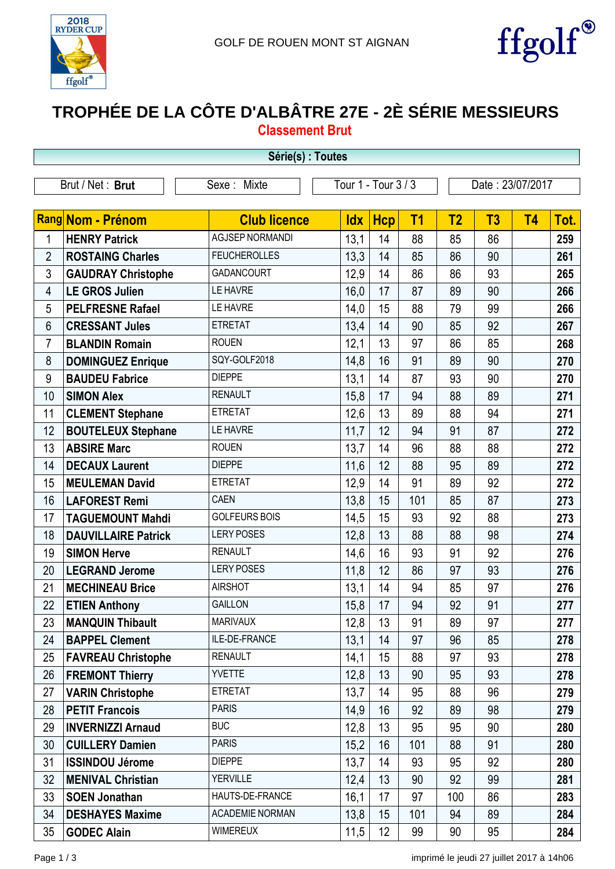



## **TROPHÉE DE LA CÔTE D'ALBÂTRE 27E - 2È SÉRIE MESSIEURS Classement Brut**

| Série(s) : Toutes |                            |                        |                     |            |                |                |                  |           |      |
|-------------------|----------------------------|------------------------|---------------------|------------|----------------|----------------|------------------|-----------|------|
|                   | Brut / Net: Brut           | Sexe: Mixte            | Tour 1 - Tour 3 / 3 |            |                |                | Date: 23/07/2017 |           |      |
|                   |                            |                        |                     |            |                |                |                  |           |      |
|                   | Rang Nom - Prénom          | <b>Club licence</b>    | <b>Idx</b>          | <b>Hcp</b> | T <sub>1</sub> | T <sub>2</sub> | T <sub>3</sub>   | <b>T4</b> | Tot. |
| 1                 | <b>HENRY Patrick</b>       | <b>AGJSEP NORMANDI</b> | 13,1                | 14         | 88             | 85             | 86               |           | 259  |
| $\overline{2}$    | <b>ROSTAING Charles</b>    | <b>FEUCHEROLLES</b>    | 13,3                | 14         | 85             | 86             | 90               |           | 261  |
| 3                 | <b>GAUDRAY Christophe</b>  | <b>GADANCOURT</b>      | 12,9                | 14         | 86             | 86             | 93               |           | 265  |
| $\overline{4}$    | <b>LE GROS Julien</b>      | LE HAVRE               | 16,0                | 17         | 87             | 89             | 90               |           | 266  |
| 5                 | <b>PELFRESNE Rafael</b>    | LE HAVRE               | 14,0                | 15         | 88             | 79             | 99               |           | 266  |
| $6\phantom{1}$    | <b>CRESSANT Jules</b>      | <b>ETRETAT</b>         | 13,4                | 14         | 90             | 85             | 92               |           | 267  |
| $\overline{7}$    | <b>BLANDIN Romain</b>      | <b>ROUEN</b>           | 12,1                | 13         | 97             | 86             | 85               |           | 268  |
| 8                 | <b>DOMINGUEZ Enrique</b>   | SQY-GOLF2018           | 14,8                | 16         | 91             | 89             | 90               |           | 270  |
| 9                 | <b>BAUDEU Fabrice</b>      | <b>DIEPPE</b>          | 13,1                | 14         | 87             | 93             | 90               |           | 270  |
| 10                | <b>SIMON Alex</b>          | <b>RENAULT</b>         | 15,8                | 17         | 94             | 88             | 89               |           | 271  |
| 11                | <b>CLEMENT Stephane</b>    | <b>ETRETAT</b>         | 12,6                | 13         | 89             | 88             | 94               |           | 271  |
| 12                | <b>BOUTELEUX Stephane</b>  | LE HAVRE               | 11,7                | 12         | 94             | 91             | 87               |           | 272  |
| 13                | <b>ABSIRE Marc</b>         | <b>ROUEN</b>           | 13,7                | 14         | 96             | 88             | 88               |           | 272  |
| 14                | <b>DECAUX Laurent</b>      | <b>DIEPPE</b>          | 11,6                | 12         | 88             | 95             | 89               |           | 272  |
| 15                | <b>MEULEMAN David</b>      | <b>ETRETAT</b>         | 12,9                | 14         | 91             | 89             | 92               |           | 272  |
| 16                | <b>LAFOREST Remi</b>       | <b>CAEN</b>            | 13,8                | 15         | 101            | 85             | 87               |           | 273  |
| 17                | <b>TAGUEMOUNT Mahdi</b>    | <b>GOLFEURS BOIS</b>   | 14,5                | 15         | 93             | 92             | 88               |           | 273  |
| 18                | <b>DAUVILLAIRE Patrick</b> | <b>LERY POSES</b>      | 12,8                | 13         | 88             | 88             | 98               |           | 274  |
| 19                | <b>SIMON Herve</b>         | <b>RENAULT</b>         | 14,6                | 16         | 93             | 91             | 92               |           | 276  |
| 20                | <b>LEGRAND Jerome</b>      | <b>LERY POSES</b>      | 11,8                | 12         | 86             | 97             | 93               |           | 276  |
| 21                | <b>MECHINEAU Brice</b>     | <b>AIRSHOT</b>         | 13,1                | 14         | 94             | 85             | 97               |           | 276  |
| 22                | <b>ETIEN Anthony</b>       | <b>GAILLON</b>         | 15,8                | 17         | 94             | 92             | 91               |           | 277  |
| 23                | <b>MANQUIN Thibault</b>    | <b>MARIVAUX</b>        | 12,8                | 13         | 91             | 89             | 97               |           | 277  |
| 24                | <b>BAPPEL Clement</b>      | ILE-DE-FRANCE          | 13,1                | 14         | 97             | 96             | 85               |           | 278  |
| 25                | <b>FAVREAU Christophe</b>  | <b>RENAULT</b>         | 14,1                | 15         | 88             | 97             | 93               |           | 278  |
| 26                | <b>FREMONT Thierry</b>     | <b>YVETTE</b>          | 12,8                | 13         | 90             | 95             | 93               |           | 278  |
| 27                | <b>VARIN Christophe</b>    | <b>ETRETAT</b>         | 13,7                | 14         | 95             | 88             | 96               |           | 279  |
| 28                | <b>PETIT Francois</b>      | <b>PARIS</b>           | 14,9                | 16         | 92             | 89             | 98               |           | 279  |
| 29                | <b>INVERNIZZI Arnaud</b>   | <b>BUC</b>             | 12,8                | 13         | 95             | 95             | 90               |           | 280  |
| 30                | <b>CUILLERY Damien</b>     | <b>PARIS</b>           | 15,2                | 16         | 101            | 88             | 91               |           | 280  |
| 31                | <b>ISSINDOU Jérome</b>     | <b>DIEPPE</b>          | 13,7                | 14         | 93             | 95             | 92               |           | 280  |
| 32                | <b>MENIVAL Christian</b>   | <b>YERVILLE</b>        | 12,4                | 13         | 90             | 92             | 99               |           | 281  |
| 33                | <b>SOEN Jonathan</b>       | HAUTS-DE-FRANCE        | 16,1                | 17         | 97             | 100            | 86               |           | 283  |
| 34                | <b>DESHAYES Maxime</b>     | <b>ACADEMIE NORMAN</b> | 13,8                | 15         | 101            | 94             | 89               |           | 284  |
| 35                | <b>GODEC Alain</b>         | <b>WIMEREUX</b>        | 11,5                | 12         | 99             | 90             | 95               |           | 284  |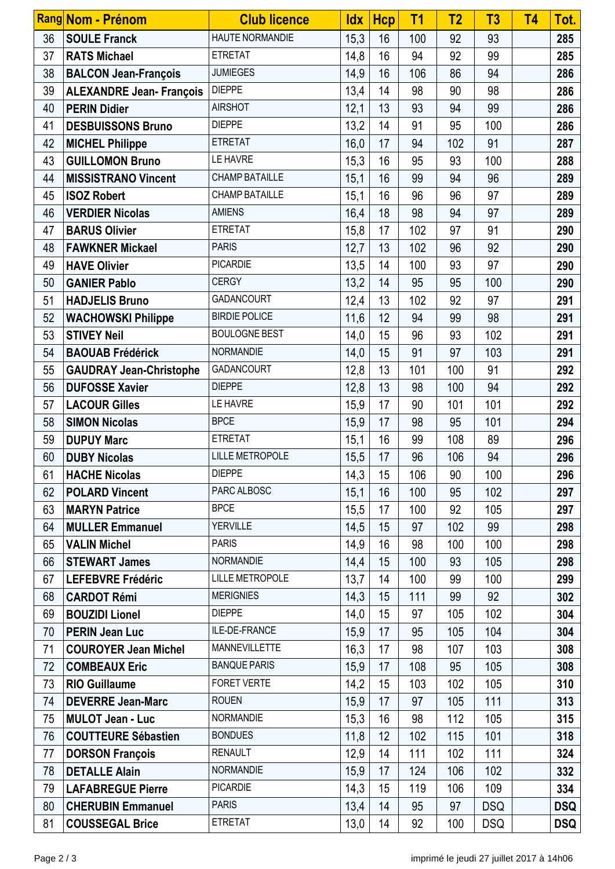|    | Rang Nom - Prénom               | <b>Club licence</b>    | <u>ldx</u> | <b>Hcp</b> | T <sub>1</sub> | T <sub>2</sub> | T3         | <b>T4</b> | Tot.       |
|----|---------------------------------|------------------------|------------|------------|----------------|----------------|------------|-----------|------------|
| 36 | <b>SOULE Franck</b>             | <b>HAUTE NORMANDIE</b> | 15,3       | 16         | 100            | 92             | 93         |           | 285        |
| 37 | <b>RATS Michael</b>             | <b>ETRETAT</b>         | 14,8       | 16         | 94             | 92             | 99         |           | 285        |
| 38 | <b>BALCON Jean-François</b>     | <b>JUMIEGES</b>        | 14,9       | 16         | 106            | 86             | 94         |           | 286        |
| 39 | <b>ALEXANDRE Jean- François</b> | <b>DIEPPE</b>          | 13,4       | 14         | 98             | 90             | 98         |           | 286        |
| 40 | <b>PERIN Didier</b>             | <b>AIRSHOT</b>         | 12,1       | 13         | 93             | 94             | 99         |           | 286        |
| 41 | <b>DESBUISSONS Bruno</b>        | <b>DIEPPE</b>          | 13,2       | 14         | 91             | 95             | 100        |           | 286        |
| 42 | <b>MICHEL Philippe</b>          | <b>ETRETAT</b>         | 16,0       | 17         | 94             | 102            | 91         |           | 287        |
| 43 | <b>GUILLOMON Bruno</b>          | LE HAVRE               | 15,3       | 16         | 95             | 93             | 100        |           | 288        |
| 44 | <b>MISSISTRANO Vincent</b>      | <b>CHAMP BATAILLE</b>  | 15,1       | 16         | 99             | 94             | 96         |           | 289        |
| 45 | <b>ISOZ Robert</b>              | <b>CHAMP BATAILLE</b>  | 15,1       | 16         | 96             | 96             | 97         |           | 289        |
| 46 | <b>VERDIER Nicolas</b>          | <b>AMIENS</b>          | 16,4       | 18         | 98             | 94             | 97         |           | 289        |
| 47 | <b>BARUS Olivier</b>            | <b>ETRETAT</b>         | 15,8       | 17         | 102            | 97             | 91         |           | 290        |
| 48 | <b>FAWKNER Mickael</b>          | <b>PARIS</b>           | 12,7       | 13         | 102            | 96             | 92         |           | 290        |
| 49 | <b>HAVE Olivier</b>             | <b>PICARDIE</b>        | 13,5       | 14         | 100            | 93             | 97         |           | 290        |
| 50 | <b>GANIER Pablo</b>             | <b>CERGY</b>           | 13,2       | 14         | 95             | 95             | 100        |           | 290        |
| 51 | <b>HADJELIS Bruno</b>           | <b>GADANCOURT</b>      | 12,4       | 13         | 102            | 92             | 97         |           | 291        |
| 52 | <b>WACHOWSKI Philippe</b>       | <b>BIRDIE POLICE</b>   | 11,6       | 12         | 94             | 99             | 98         |           | 291        |
| 53 | <b>STIVEY Neil</b>              | <b>BOULOGNE BEST</b>   | 14,0       | 15         | 96             | 93             | 102        |           | 291        |
| 54 | <b>BAOUAB Frédérick</b>         | NORMANDIE              | 14,0       | 15         | 91             | 97             | 103        |           | 291        |
| 55 | <b>GAUDRAY Jean-Christophe</b>  | <b>GADANCOURT</b>      | 12,8       | 13         | 101            | 100            | 91         |           | 292        |
| 56 | <b>DUFOSSE Xavier</b>           | <b>DIEPPE</b>          | 12,8       | 13         | 98             | 100            | 94         |           | 292        |
| 57 | <b>LACOUR Gilles</b>            | LE HAVRE               | 15,9       | 17         | 90             | 101            | 101        |           | 292        |
| 58 | <b>SIMON Nicolas</b>            | <b>BPCE</b>            | 15,9       | 17         | 98             | 95             | 101        |           | 294        |
| 59 | <b>DUPUY Marc</b>               | <b>ETRETAT</b>         | 15,1       | 16         | 99             | 108            | 89         |           | 296        |
| 60 | <b>DUBY Nicolas</b>             | <b>LILLE METROPOLE</b> | 15,5       | 17         | 96             | 106            | 94         |           | 296        |
| 61 | <b>HACHE Nicolas</b>            | <b>DIEPPE</b>          | 14,3       | 15         | 106            | 90             | 100        |           | 296        |
| 62 | <b>POLARD Vincent</b>           | PARC ALBOSC            | 15,1       | 16         | 100            | 95             | 102        |           | 297        |
| 63 | <b>MARYN Patrice</b>            | <b>BPCE</b>            | 15,5       | 17         | 100            | 92             | 105        |           | 297        |
| 64 | <b>MULLER Emmanuel</b>          | <b>YERVILLE</b>        | 14,5       | 15         | 97             | 102            | 99         |           | 298        |
| 65 | <b>VALIN Michel</b>             | <b>PARIS</b>           | 14,9       | 16         | 98             | 100            | 100        |           | 298        |
| 66 | <b>STEWART James</b>            | <b>NORMANDIE</b>       | 14,4       | 15         | 100            | 93             | 105        |           | 298        |
| 67 | <b>LEFEBVRE Frédéric</b>        | <b>LILLE METROPOLE</b> | 13,7       | 14         | 100            | 99             | 100        |           | 299        |
| 68 | <b>CARDOT Rémi</b>              | <b>MERIGNIES</b>       | 14,3       | 15         | 111            | 99             | 92         |           | 302        |
| 69 | <b>BOUZIDI Lionel</b>           | <b>DIEPPE</b>          | 14,0       | 15         | 97             | 105            | 102        |           | 304        |
| 70 | <b>PERIN Jean Luc</b>           | ILE-DE-FRANCE          | 15,9       | 17         | 95             | 105            | 104        |           | 304        |
| 71 | <b>COUROYER Jean Michel</b>     | MANNEVILLETTE          | 16,3       | 17         | 98             | 107            | 103        |           | 308        |
| 72 | <b>COMBEAUX Eric</b>            | <b>BANQUE PARIS</b>    | 15,9       | 17         | 108            | 95             | 105        |           | 308        |
| 73 | <b>RIO Guillaume</b>            | <b>FORET VERTE</b>     | 14,2       | 15         | 103            | 102            | 105        |           | 310        |
| 74 | <b>DEVERRE Jean-Marc</b>        | <b>ROUEN</b>           | 15,9       | 17         | 97             | 105            | 111        |           | 313        |
| 75 | <b>MULOT Jean - Luc</b>         | <b>NORMANDIE</b>       | 15,3       | 16         | 98             | 112            | 105        |           | 315        |
| 76 | <b>COUTTEURE Sébastien</b>      | <b>BONDUES</b>         | 11,8       | 12         | 102            | 115            | 101        |           | 318        |
| 77 | <b>DORSON François</b>          | <b>RENAULT</b>         | 12,9       | 14         | 111            | 102            | 111        |           | 324        |
| 78 | <b>DETALLE Alain</b>            | <b>NORMANDIE</b>       | 15,9       | 17         | 124            | 106            | 102        |           | 332        |
| 79 | <b>LAFABREGUE Pierre</b>        | <b>PICARDIE</b>        | 14,3       | 15         | 119            | 106            | 109        |           | 334        |
| 80 | <b>CHERUBIN Emmanuel</b>        | <b>PARIS</b>           | 13,4       | 14         | 95             | 97             | <b>DSQ</b> |           | <b>DSQ</b> |
| 81 | <b>COUSSEGAL Brice</b>          | <b>ETRETAT</b>         | 13,0       | 14         | 92             | 100            | <b>DSQ</b> |           | <b>DSQ</b> |